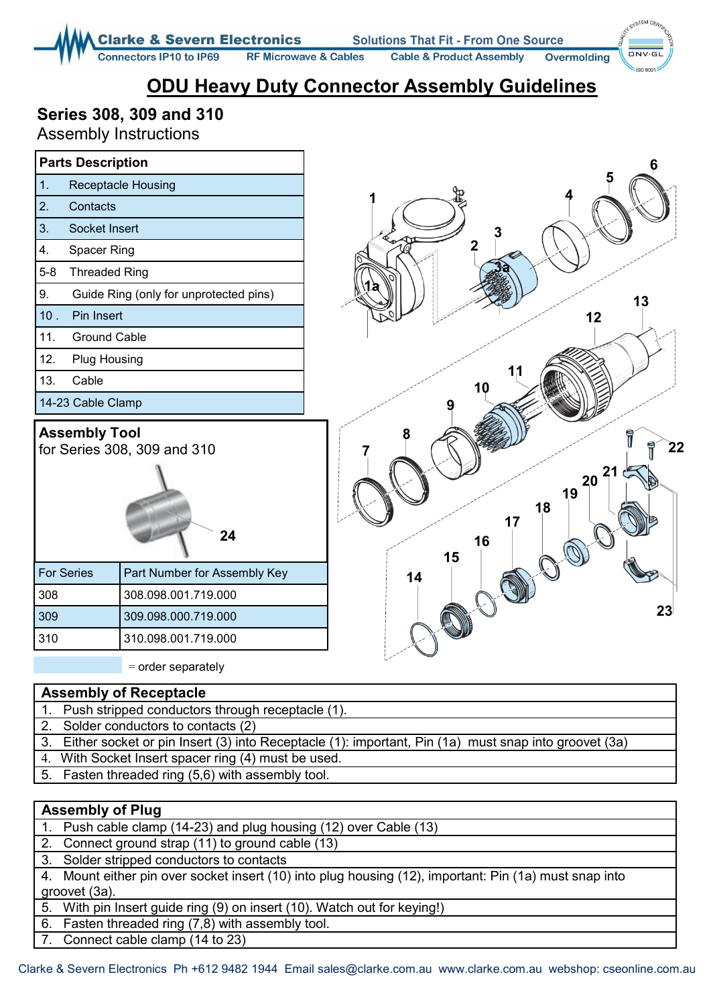**Clarke & Severn Electronics Solutions That Fit - From One Source** 

**RF Microwave & Cables** 

**Cable & Product Assembly Overmolding**  STEM CA  $DNV·G$ 

# **ODU Heavy Duty Connector Assembly Guidelines**

### **Series 308, 309 and 310**

**Connectors IP10 to IP69** 

Assembly Instructions

|                                                           | <b>Parts Description</b>               | 6                                                        |
|-----------------------------------------------------------|----------------------------------------|----------------------------------------------------------|
| 1.                                                        | <b>Receptacle Housing</b>              | 5                                                        |
| 2.                                                        | Contacts                               |                                                          |
| 3.                                                        | Socket Insert                          | 3                                                        |
| 4.                                                        | Spacer Ring                            | $\boldsymbol{2}$                                         |
| $5-8$                                                     | <b>Threaded Ring</b>                   |                                                          |
| 9.                                                        | Guide Ring (only for unprotected pins) | 13                                                       |
| 10.                                                       | Pin Insert                             | 12                                                       |
| 11.                                                       | <b>Ground Cable</b>                    |                                                          |
| 12.                                                       | <b>Plug Housing</b>                    |                                                          |
| 13.<br>Cable                                              |                                        | 11<br>10                                                 |
|                                                           | 14-23 Cable Clamp                      |                                                          |
| <b>Assembly Tool</b><br>for Series 308, 309 and 310<br>24 |                                        | 22<br>2 <sub>1</sub><br>20<br>19<br>18<br>17<br>16<br>15 |
| <b>For Series</b>                                         | Part Number for Assembly Key           | 14                                                       |
| 308                                                       | 308.098.001.719.000                    |                                                          |
| 309                                                       | 309.098.000.719.000                    | 23                                                       |
| 310                                                       | 310.098.001.719.000                    |                                                          |
|                                                           |                                        |                                                          |

 $=$  order separately

### **Assembly of Receptacle**

- 1. Push stripped conductors through receptacle (1).
- 2. Solder conductors to contacts (2)
- 3. Either socket or pin Insert (3) into Receptacle (1): important, Pin (1a) must snap into groovet (3a)
- 4. With Socket Insert spacer ring (4) must be used.
- 5. Fasten threaded ring (5,6) with assembly tool.

#### **Assembly of Plug**

- 1. Push cable clamp (14-23) and plug housing (12) over Cable (13)
- 2. Connect ground strap (11) to ground cable (13)
- 3. Solder stripped conductors to contacts
- 4. Mount either pin over socket insert (10) into plug housing (12), important: Pin (1a) must snap into groovet (3a).
- 5. With pin Insert guide ring (9) on insert (10). Watch out for keying!)
- 6. Fasten threaded ring (7,8) with assembly tool.
- 7. Connect cable clamp (14 to 23)